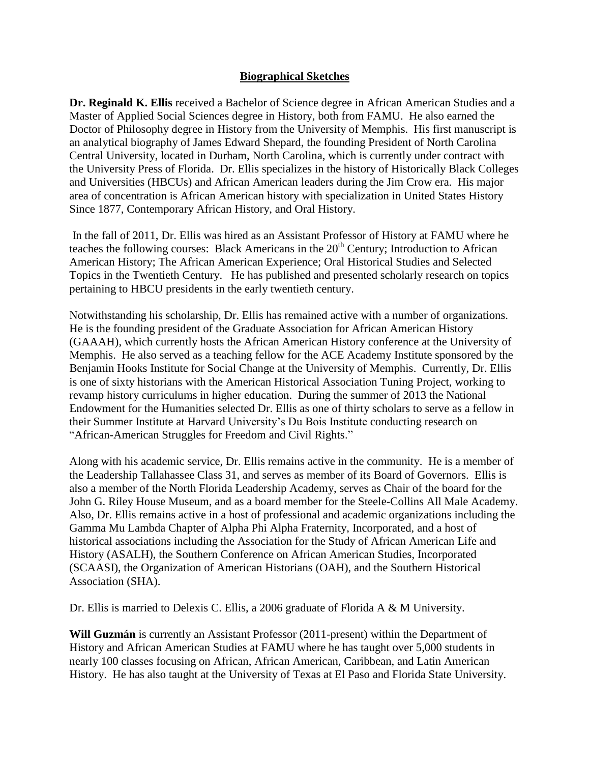## **Biographical Sketches**

**Dr. Reginald K. Ellis** received a Bachelor of Science degree in African American Studies and a Master of Applied Social Sciences degree in History, both from FAMU. He also earned the Doctor of Philosophy degree in History from the University of Memphis. His first manuscript is an analytical biography of James Edward Shepard, the founding President of North Carolina Central University, located in Durham, North Carolina, which is currently under contract with the University Press of Florida. Dr. Ellis specializes in the history of Historically Black Colleges and Universities (HBCUs) and African American leaders during the Jim Crow era. His major area of concentration is African American history with specialization in United States History Since 1877, Contemporary African History, and Oral History.

In the fall of 2011, Dr. Ellis was hired as an Assistant Professor of History at FAMU where he teaches the following courses: Black Americans in the  $20<sup>th</sup>$  Century; Introduction to African American History; The African American Experience; Oral Historical Studies and Selected Topics in the Twentieth Century. He has published and presented scholarly research on topics pertaining to HBCU presidents in the early twentieth century.

Notwithstanding his scholarship, Dr. Ellis has remained active with a number of organizations. He is the founding president of the Graduate Association for African American History (GAAAH), which currently hosts the African American History conference at the University of Memphis. He also served as a teaching fellow for the ACE Academy Institute sponsored by the Benjamin Hooks Institute for Social Change at the University of Memphis. Currently, Dr. Ellis is one of sixty historians with the American Historical Association Tuning Project, working to revamp history curriculums in higher education. During the summer of 2013 the National Endowment for the Humanities selected Dr. Ellis as one of thirty scholars to serve as a fellow in their Summer Institute at Harvard University's Du Bois Institute conducting research on "African-American Struggles for Freedom and Civil Rights."

Along with his academic service, Dr. Ellis remains active in the community. He is a member of the Leadership Tallahassee Class 31, and serves as member of its Board of Governors. Ellis is also a member of the North Florida Leadership Academy, serves as Chair of the board for the John G. Riley House Museum, and as a board member for the Steele-Collins All Male Academy. Also, Dr. Ellis remains active in a host of professional and academic organizations including the Gamma Mu Lambda Chapter of Alpha Phi Alpha Fraternity, Incorporated, and a host of historical associations including the Association for the Study of African American Life and History (ASALH), the Southern Conference on African American Studies, Incorporated (SCAASI), the Organization of American Historians (OAH), and the Southern Historical Association (SHA).

Dr. Ellis is married to Delexis C. Ellis, a 2006 graduate of Florida A & M University.

**Will Guzmán** is currently an Assistant Professor (2011-present) within the Department of History and African American Studies at FAMU where he has taught over 5,000 students in nearly 100 classes focusing on African, African American, Caribbean, and Latin American History.He has also taught at the University of Texas at El Paso and Florida State University.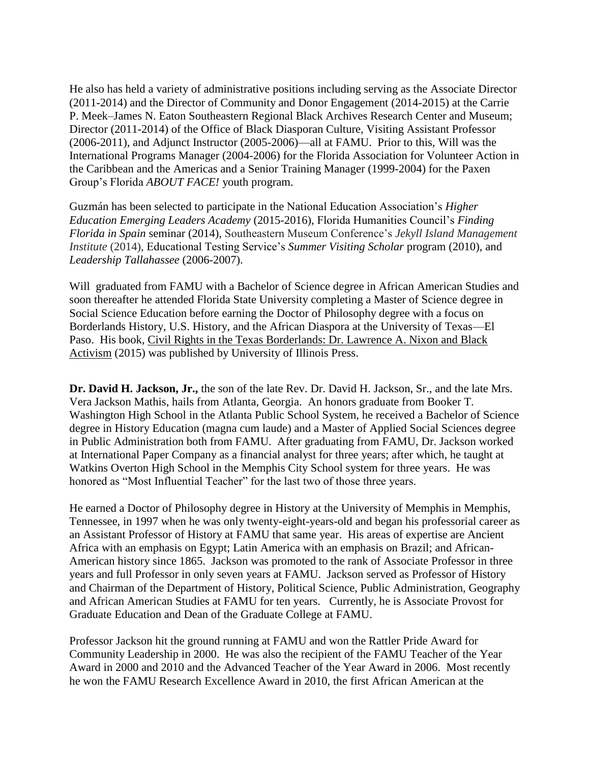He also has held a variety of administrative positions including serving as the Associate Director (2011-2014) and the Director of Community and Donor Engagement (2014-2015) at the Carrie P. Meek–James N. Eaton Southeastern Regional Black Archives Research Center and Museum; Director (2011-2014) of the Office of Black Diasporan Culture, Visiting Assistant Professor (2006-2011), and Adjunct Instructor (2005-2006)—all at FAMU. Prior to this, Will was the International Programs Manager (2004-2006) for the Florida Association for Volunteer Action in the Caribbean and the Americas and a Senior Training Manager (1999-2004) for the Paxen Group's Florida *ABOUT FACE!* youth program.

Guzmán has been selected to participate in the National Education Association's *Higher Education Emerging Leaders Academy* (2015-2016), Florida Humanities Council's *Finding Florida in Spain* seminar (2014), Southeastern Museum Conference's *Jekyll Island Management Institute* (2014), Educational Testing Service's *Summer Visiting Scholar* program (2010), and *Leadership Tallahassee* (2006-2007).

Will graduated from FAMU with a Bachelor of Science degree in African American Studies and soon thereafter he attended Florida State University completing a Master of Science degree in Social Science Education before earning the Doctor of Philosophy degree with a focus on Borderlands History, U.S. History, and the African Diaspora at the University of Texas—El Paso. His book, Civil Rights in the Texas Borderlands: Dr. Lawrence A. Nixon and Black Activism (2015) was published by University of Illinois Press.

**Dr. David H. Jackson, Jr.,** the son of the late Rev. Dr. David H. Jackson, Sr., and the late Mrs. Vera Jackson Mathis, hails from Atlanta, Georgia. An honors graduate from Booker T. Washington High School in the Atlanta Public School System, he received a Bachelor of Science degree in History Education (magna cum laude) and a Master of Applied Social Sciences degree in Public Administration both from FAMU. After graduating from FAMU, Dr. Jackson worked at International Paper Company as a financial analyst for three years; after which, he taught at Watkins Overton High School in the Memphis City School system for three years. He was honored as "Most Influential Teacher" for the last two of those three years.

He earned a Doctor of Philosophy degree in History at the University of Memphis in Memphis, Tennessee, in 1997 when he was only twenty-eight-years-old and began his professorial career as an Assistant Professor of History at FAMU that same year. His areas of expertise are Ancient Africa with an emphasis on Egypt; Latin America with an emphasis on Brazil; and African-American history since 1865. Jackson was promoted to the rank of Associate Professor in three years and full Professor in only seven years at FAMU. Jackson served as Professor of History and Chairman of the Department of History, Political Science, Public Administration, Geography and African American Studies at FAMU for ten years. Currently, he is Associate Provost for Graduate Education and Dean of the Graduate College at FAMU.

Professor Jackson hit the ground running at FAMU and won the Rattler Pride Award for Community Leadership in 2000. He was also the recipient of the FAMU Teacher of the Year Award in 2000 and 2010 and the Advanced Teacher of the Year Award in 2006. Most recently he won the FAMU Research Excellence Award in 2010, the first African American at the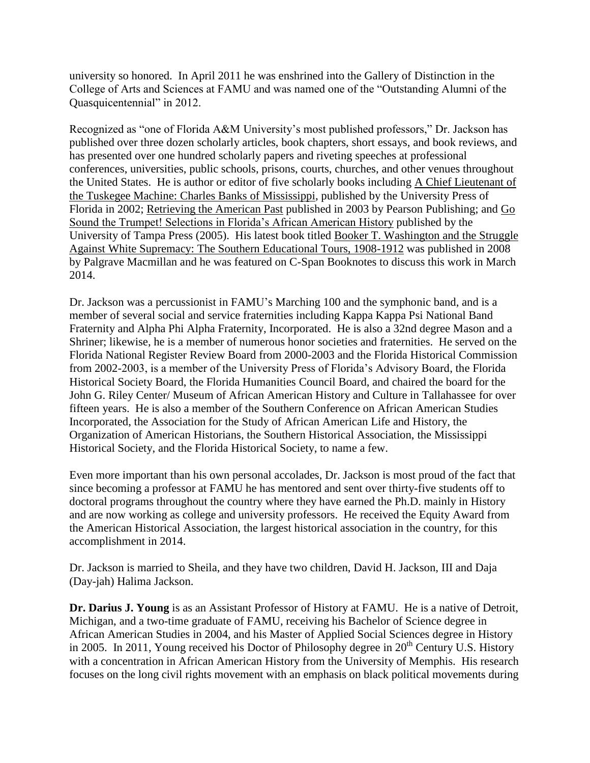university so honored. In April 2011 he was enshrined into the Gallery of Distinction in the College of Arts and Sciences at FAMU and was named one of the "Outstanding Alumni of the Quasquicentennial" in 2012.

Recognized as "one of Florida A&M University's most published professors," Dr. Jackson has published over three dozen scholarly articles, book chapters, short essays, and book reviews, and has presented over one hundred scholarly papers and riveting speeches at professional conferences, universities, public schools, prisons, courts, churches, and other venues throughout the United States. He is author or editor of five scholarly books including A Chief Lieutenant of the Tuskegee Machine: Charles Banks of Mississippi, published by the University Press of Florida in 2002; Retrieving the American Past published in 2003 by Pearson Publishing; and Go Sound the Trumpet! Selections in Florida's African American History published by the University of Tampa Press (2005). His latest book titled Booker T. Washington and the Struggle Against White Supremacy: The Southern Educational Tours, 1908-1912 was published in 2008 by Palgrave Macmillan and he was featured on C-Span Booknotes to discuss this work in March 2014.

Dr. Jackson was a percussionist in FAMU's Marching 100 and the symphonic band, and is a member of several social and service fraternities including Kappa Kappa Psi National Band Fraternity and Alpha Phi Alpha Fraternity, Incorporated. He is also a 32nd degree Mason and a Shriner; likewise, he is a member of numerous honor societies and fraternities. He served on the Florida National Register Review Board from 2000-2003 and the Florida Historical Commission from 2002-2003, is a member of the University Press of Florida's Advisory Board, the Florida Historical Society Board, the Florida Humanities Council Board, and chaired the board for the John G. Riley Center/ Museum of African American History and Culture in Tallahassee for over fifteen years. He is also a member of the Southern Conference on African American Studies Incorporated, the Association for the Study of African American Life and History, the Organization of American Historians, the Southern Historical Association, the Mississippi Historical Society, and the Florida Historical Society, to name a few.

Even more important than his own personal accolades, Dr. Jackson is most proud of the fact that since becoming a professor at FAMU he has mentored and sent over thirty-five students off to doctoral programs throughout the country where they have earned the Ph.D. mainly in History and are now working as college and university professors. He received the Equity Award from the American Historical Association, the largest historical association in the country, for this accomplishment in 2014.

Dr. Jackson is married to Sheila, and they have two children, David H. Jackson, III and Daja (Day-jah) Halima Jackson.

**Dr. Darius J. Young** is as an Assistant Professor of History at FAMU. He is a native of Detroit, Michigan, and a two-time graduate of FAMU, receiving his Bachelor of Science degree in African American Studies in 2004, and his Master of Applied Social Sciences degree in History in 2005. In 2011, Young received his Doctor of Philosophy degree in  $20<sup>th</sup>$  Century U.S. History with a concentration in African American History from the University of Memphis. His research focuses on the long civil rights movement with an emphasis on black political movements during